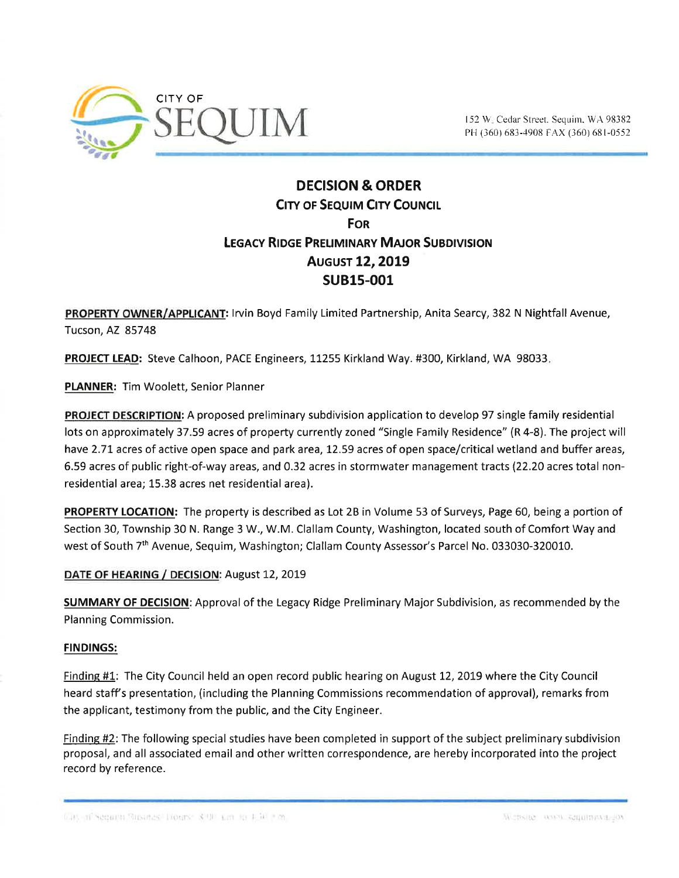

# DECISION & ORDER **CITY OF SEQUIM CITY COUNCIL FOR** LEGACY RIDGE PRELIMINARY MAJOR SUBDIVISION **AUGUST 12, 2019** suB15-001

PROPERTY OWNER/APPLICANT: Irvin Boyd Family Limited Partnership, Anita Searcy, 382 N Nightfall Avenue, Tucson, AZ 85748

PROJECT LEAD: Steve Calhoon, PACE Engineers, 11255 Kirkland Way. #300, Kirkland, WA 98033.

PLANNER: Tim Woolett, Senior Planner

PROJECT DESCRIPTION: A proposed preliminary subdivision application to develop 97 single family residential lots on approximately 37.59 acres of property currently zoned "Single Family Residence" (R 4-8). The project will have 2.71 acres of active open space and park area, 12.59 acres of open space/critical wetland and buffer areas, 6.59 acres of public right-of-way areas, and 0.32 acres in stormwater management tracts (22.20 acres total nonresidential area; 15.38 acres net residential area).

PROPERTY LOCATION: The property is described as Lot 2B in Volume 53 of Surveys, Page 60, being a portion of Section 30, Township 30 N. Range 3 W., W.M. Clallam County, Washington, located south of Comfort Way and west of South 7<sup>th</sup> Avenue, Sequim, Washington; Clallam County Assessor's Parcel No. 033030-320010.

## DATE OF HEARING / DECISION: August 12, 2019

SUMMARY OF DECISION: Approval of the Legacy Ridge Preliminary Major Subdivision, as recommended by the Planning Commission.

## FINDINGS:

Finding #1: The City Council held an open record public hearing on August 12, 2019 where the City Council heard staff s presentation, (including the Planning Commissions recommendation of approval), remarks from the applicant, testimony from the public, and the City Engineer.

Findine #2: The following special studies have been completed in support of the subject preliminary subdivision proposal, and all associated email and other written correspondence, are hereby incorporated into the project record by reference.

Unit in Network Standard Library, 8.00 km to 1.50 km and 1.00 km and 1.00 km and 1.00 km and 1.00 km and 1.00 km and 1.00 km and 1.00 km and 1.00 km and 1.00 km and 1.00 km and 1.00 km and 1.00 km and 1.00 km and 1.00 km a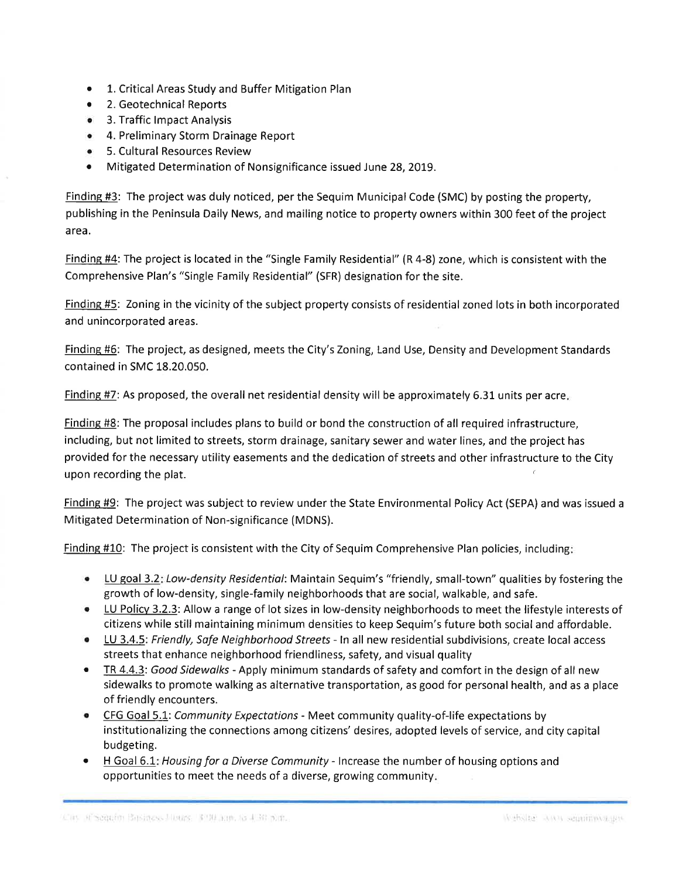- . 1. Critical Areas Study and Buffer Mitigation Plan
- 2. Geotechnical Reports
- 3. Traffic Impact Analysis
- o 4. Preliminary Storm Drainage Report
- **•** 5. Cultural Resources Review
- ¡ Mitigated Determination of Nonsignificance issued June 28, 2019.

Findins #3: The project was duly noticed, per the Sequim Municipal Code (SMC) by posting the property, publishing in the Peninsula Daily News, and mailing notice to property owners within 300 feet of the project <sup>a</sup>rea.

Finding #4: The project is located in the "Single Family Residential" (R 4-8) zone, which is consistent with the Comprehensive Plan's "Single Family Residential" (SFR) designation for the site.

Finding #5: Zoning in the vicinity of the subject property consists of residential zoned lots in both incorporated and unincorporated areas.

Finding #6: The project, as designed, meets the City's Zoning, Land Use, Density and Development Standards contained in SMC 18.20.050.

Finding #7: As proposed, the overall net residential density will be approximately 6.31 units per acre.

Findine #8: The proposal includes plans to build or bond the construction of all required infrastructure, including, but not limited to streets, storm drainage, sanitary sewer and water lines, and the project has provided for the necessary utility easements and the dedication of streets and other infrastructure to the City upon recording the plat.

Finding #9: The project was subject to review under the State Environmental Policy Act (SEPA) and was issued <sup>a</sup> Mitigated Determination of Non-significance (MDNS).

Finding #10: The project is consistent with the City of Sequim Comprehensive Plan policies, including:

- LU goal 3.2: Low-density Residential: Maintain Sequim's "friendly, small-town" qualities by fostering the growth of low-density, single-family neighborhoods that are social, walkable, and safe.
- LU Policy 3.2.3: Allow a range of lot sizes in low-density neighborhoods to meet the lifestyle interests of citizens while still maintaining minimum densities to keep Sequim's future both social and affordable.
- U 3.4.5: Friendly, Safe Neighborhood Streets In all new residential subdivisions, create local access streets that enhance neighborhood friendliness, safety, and visual quality
- TR 4.4.3: Good Sidewalks Apply minimum standards of safety and comfort in the design of all new sidewalks to promote walking as alternative transportation, as good for personal health, and as a place of friendly encounters.
- CFG Goal 5.1: Community Expectations Meet community quality-of-life expectations by ínstitutionalizing the connections among citizens' desires, adopted levels of service, and city capital budgeting.
- H Goal 6.1: Housing for a Diverse Community Increase the number of housing options and opportunities to meet the needs of a diverse, growing community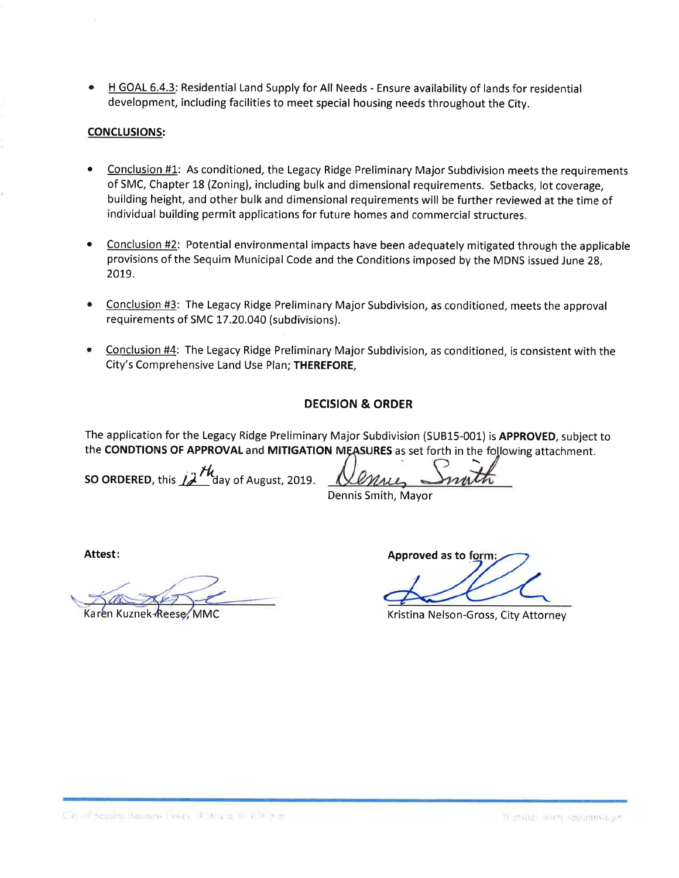$\bullet$  H GOAL 6.4.3: Residential Land Supply for All Needs - Ensure availability of lands for residential development, including facilities to meet special housing needs throughout the City.

## CONCLUSIONS:

- Conclusion #1: As conditioned, the Legacy Ridge Preliminary Major Subdivision meets the requirements of SMC, Chapter 18 (Zoning), including bulk and dimensional requirements. Setbacks, lot coverage, building height, and other bulk and dimensional requirements will be further reviewed at the time of individual building permit applications for future homes and commercial structures. a
- Conclusion #2: Potential environmental impacts have been adequately mitigated through the applicable provisions of the Sequím Municípal Code and the Conditions ímposed by the MDNS issued June 28, 2019. a
- Conclusion #3: The Legacy Ridge Preliminary Major Subdivisíon, as conditioned, meets the approval requirements of SMC 17.20.040 (subdivisions). a
- Conclusion #4: The Legacy Ridge Preliminary Major Subdivísion, as conditioned, is consistent with the City's Comprehensive Land Use Plan; THEREFORE, a

## DECISION & ORDER

The application for the Legacy Ridge Preliminary Major Subdivision (SUB15-001) is APPROVED, subject to the CONDTIONS OF APPROVAL and MITIGATION MEASURES as set forth in the following attachment.

SO ORDERED, this  $\hat{A}^{\prime\prime}$  day of August, 2019.

Dennis Smith, Mayor

Attest:

Karen Kuznek Reese, MMC

Approved as to

Kristina Nelson-Gross, City Attorney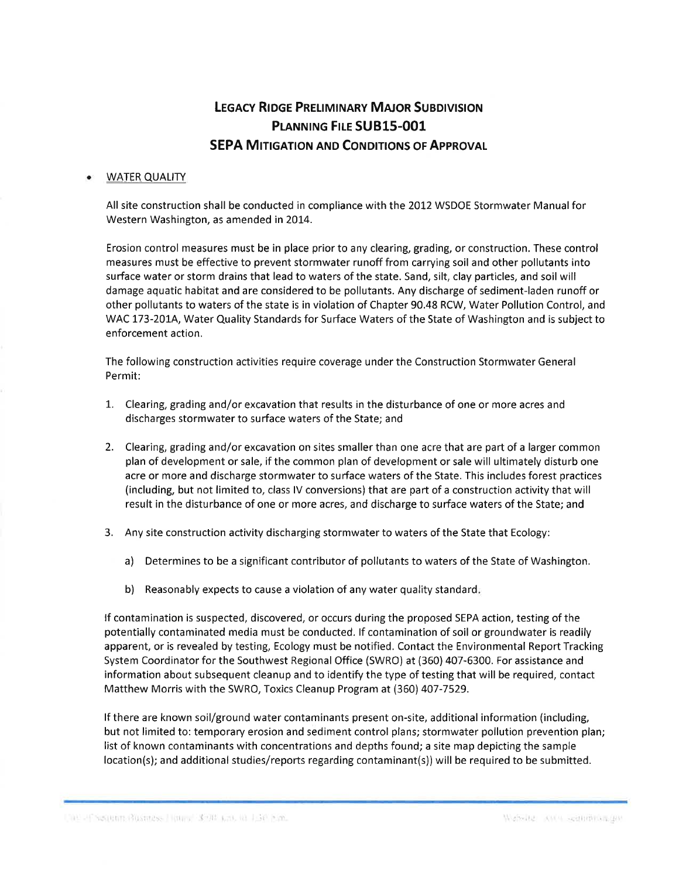# **LEGACY RIDGE PRELIMINARY MAJOR SUBDIVISION** PLANNING FILE SUB15-001 **SEPA MITIGATION AND CONDITIONS OF APPROVAL**

#### **WATER QUALITY**

All site construction shall be conducted in compliance with the 2012 WSDOE Stormwater Manualfor Western Washington, as amended in 2014.

Erosion control measures must be in place prior to any clearing, grading, or construction. These control measures must be effective to prevent stormwater runoff from carrying soil and other pollutants into surface water or storm drains that lead to waters of the state. Sand, silt, clay particles, and soil will damage aquatic habitat and are considered to be pollutants. Any discharge of sediment-laden runoff or other pollutants to waters of the state is in violation of Chapter 90.48 RCW, Water Pollution Control, and WAC 173-2014, Water Quality Standards for Surface Waters of the State of Washington and is subject to enforcement action.

The following construction activities require coverage under the Construction Stormwater General Permit:

- 1. Clearing, grading and/or excavation that results in the disturbance of one or more acres and discharges stormwater to surface waters of the State; and
- 2. Clearing, grading and/or excavation on sites smaller than one acre that are part of a larger common plan of development or sale, if the common plan of development or sale will ultimately disturb one acre or more and discharge stormwater to surface waters of the State. This íncludes forest practices (including, but not limited to, class lV conversions) that are part of a construction activity that will result in the disturbance of one or more acres, and discharge to surface waters of the State; and
- 3. Any site construction activity discharging stormwater to waters of the State that Ecology:
	- a) Determines to be a significant contributor of pollutants to waters of the State of Washington.
	- b) Reasonably expects to cause a violation of any water quality standard.

lf contamination is suspected, discovered, or occurs during the proposed SEPA action, testing of the potentially contaminated media must be conducted. lf contamination of soil or groundwater is readily apparent, or is revealed by testing, Ecology must be notified. Contact the Environmental Report Tracking System Coordinator for the Southwest Regional Office (SWRO) at (360) 407-6300. For assistance and information about subsequent cleanup and to identify the type of testing that will be required, contact Matthew Morris with the SWRO, Toxics Cleanup Program at (360) 407-7529.

lf there are known soil/ground water contaminants present on-site, additional information {including, but not limited to: temporary erosion and sediment control plans; stormwater pollution prevention plan; list of known contaminants with concentrations and depths found; a site map depicting the sample location(s); and additional studies/reports regarding contaminant(s)) will be required to be submitted.

Une of Sequing Business Hours, 370 unit in 1.30 cm.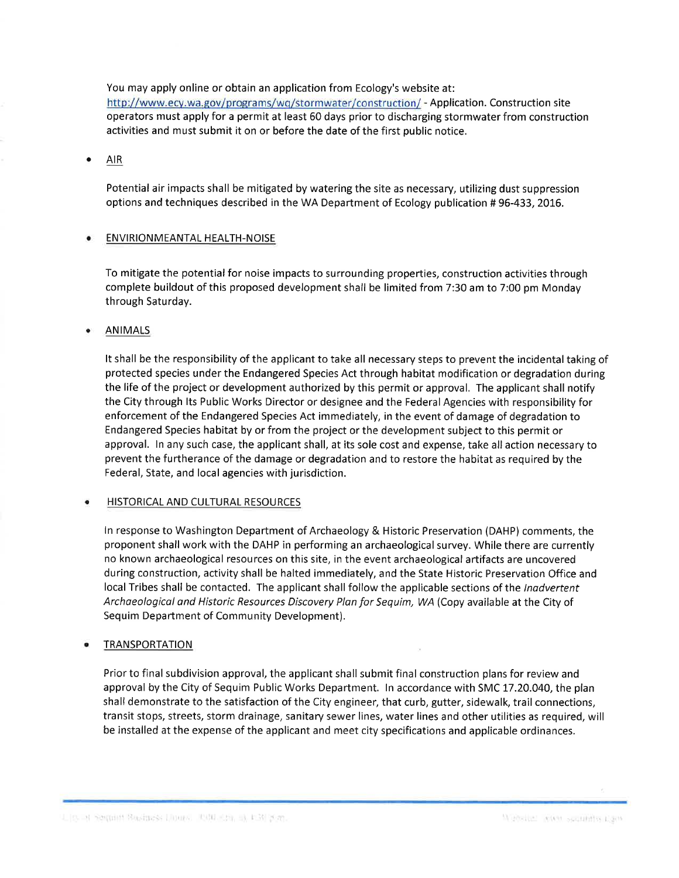You may apply online or obtain an application from Ecology's website at:

http://www.ecy.wa.gov/programs/wq/stormwater/construction/ - Application. Construction site operators must apply for a permit at least 60 days prior to discharging stormwater from construction activities and must submit it on or before the date of the first public notice.

 $\bullet$  AIR

Potential air impacts shall be mitigated by watering the site as necessary, utilizing dust suppression options and techniques described in the WA Department of Ecology publication # 96-433, 2016.

### ENVIRIONMEANTAL HEALTH-NOISE

To mitigate the potential for noise impacts to surrounding properties, construction activities through complete buildout of this proposed development shall be limited from 7:30 am to 7:00 pm Monday through Saturday.

**ANIMALS** 

It shall be the responsibility of the applicant to take all necessary steps to prevent the incidental taking of protected species under the Endangered Species Act through habitat modification or degradation during the life of the project or development authorized by this permit or approval. The applicant shall notify the City through lts Public Works Director or designee and the Federal Agencies with responsibility for enforcement of the Endangered Species Act immediately, in the event of damage of degradation to Endangered Species habitat by or from the project or the development subject to this permit or approval. ln any such case, the applicant shall, at its sole cost and expense, take all action necessary to prevent the furtherance of the damage or degradation and to restore the habitat as required by the Federal, State, and local agencies with jurisdiction.

#### **HISTORICAL AND CULTURAL RESOURCES**

ln response to Washington Department of Archaeology & Historic Preservation (DAHP) comments, the proponent shall work with the DAHP in performing an archaeological survey. While there are currently no known archaeological resources on this site, in the event archaeological artifacts are uncovered during construction, activity shall be halted immediately, and the State Historic Preservation Office and local Tribes shall be contacted. The applicant shall follow the applicable sections of the Inadvertent Archaeologicol ond Historic Resources Discovery Plan for Sequim, WA (Copy available at the City of Sequim Department of Community Development).

#### TRANSPORTATION

Prior to final subdivision approval, the applicant shall submit final construction plans for review and approval by the City of Sequim Public Works Department. ln accordance with SMC 17.20.040, the plan shall demonstrate to the satisfaction of the City engineer, that curb, gutter, sidewalk, trail connections, transit stops, streets, storm drainage, sanitary sewer lines, water lines and other utilities as required, will be installed at the expense of the applicant and meet city specifications and applicable ordinances.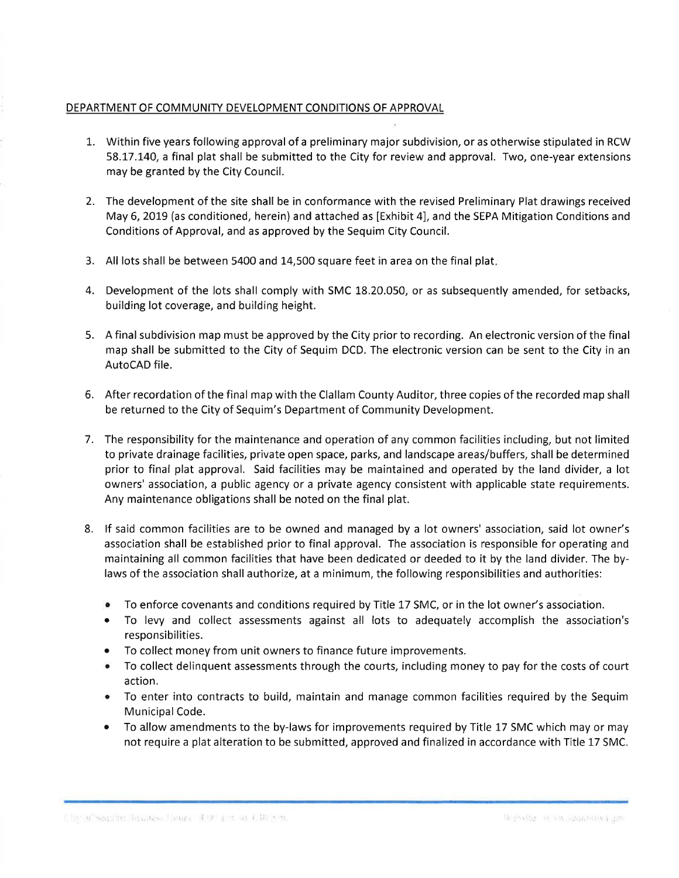## DEPARTMENT OF COMMUNITY DEVELOPMENT CONDITIONS OF APPROVAL

- 1. Within five years following approvalof a preliminary major subdivision, or as otherwise stipulated in RCW 58.17.140, a final plat shall be submitted to the City for review and approval. Two, one-year extensions may be granted by the City Council.
- 2. The development of the site shall be in conformance with the revised Preliminary Plat drawings received May 6, 2019 (as conditioned, herein) and attached as [Exhibit 4], and the SEPA Mitigation Conditions and Conditions of Approval, and as approved by the Sequim City Council.
- 3. All lots shall be between 5400 and 14,500 square feet in area on the final plat
- 4. Development of the lots shall comply with SMC 18.20.050, or as subsequently amended, for setbacks, building lot coverage, and building height.
- 5. A final subdivision map must be approved by the City prior to recording. An electronic version of the final map shall be submitted to the City of Sequim DCD. The electronic version can be sent to the City in an AutoCAD file.
- 6. After recordation of the final map with the Clallam County Auditor, three copies of the recorded map shall be returned to the City of Sequim's Department of Community Development.
- 7. The responsibility for the maintenance and operation of any common facilíties including, but not limited to private drainage facilities, private open space, parks, and landscape areas/buffers, shall be determined prior to final plat approval. Said facilities may be maintained and operated by the land divider, a lot owners' association, a public agency or a private agency consistent with applicable state requirements. Any maintenance obligations shall be noted on the final plat.
- 8. lf said common facilities are to be owned and managed by a lot owners' association, said lot owner's association shall be established prior to final approval. The association is responsible for operating and maintaining all common facilities that have been dedicated or deeded to it by the land divider. The bylaws of the association shall authorize, at a minimum, the following responsibilities and authorities:
	- To enforce covenants and conditions required by Title 17 SMC, or in the lot owner's association.
	- o To levy and collect assessments against all lots to adequately accomplish the association's responsibilities.
	- ¡ To collect money from unit owners to finance future improvements.
	- To collect delinquent assessments through the courts, including money to pay for the costs of court action.
	- o To enter into contracts to build, maíntain and manage common facilities required by the Sequim Municipal Code.
	- To allow amendments to the by-laws for improvements required by Title 17 SMC which may or may not require a plat alteration to be submitted, approved and finalized in accordance with Title 17 SMC.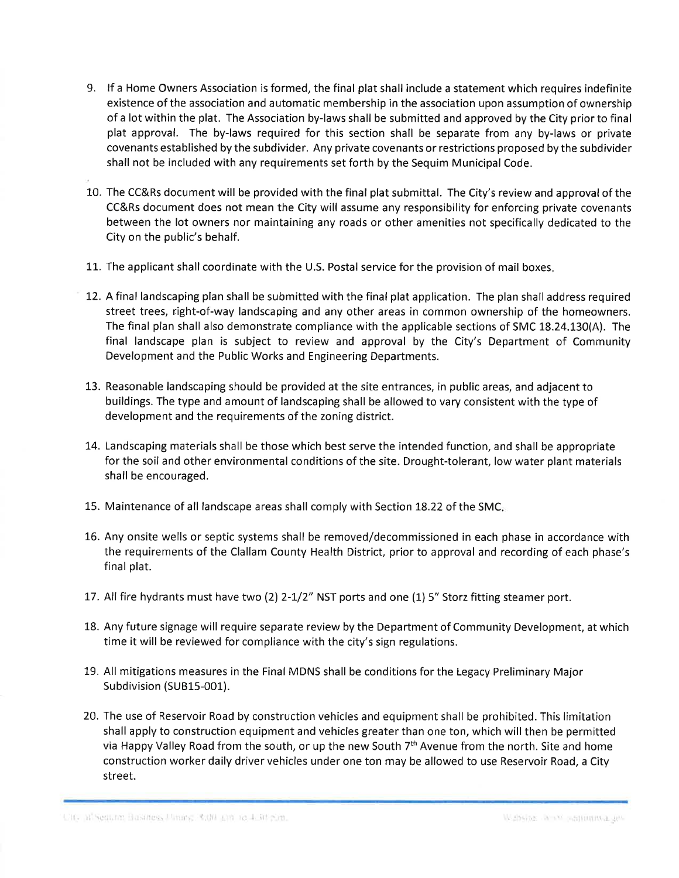- 9. lf a Home Owners Association is formed, the final plat shall include a statement which requires indefinite existence of the association and automatic membership in the association upon assumption of ownership of a lot within the plat. The Association by-laws shall be submitted and approved by the City prior to final plat approval. The by-laws required for this section shall be separate from any by-laws or private covenants established by the subdivider. Any private covenants or restrictions proposed by the subdivider shall not be included with any requirements set forth by the Sequim Municipal Code.
- L0. The CC&Rs document will be provided with the final plat submittal. The City's review and approval of the CC&Rs document does not mean the City will assume any responsibility for enforcing private covenants between the lot owners nor maintaining any roads or other amenities not specifically dedicated to the City on the public's behalf.
- 11. The applicant shall coordinate with the U.S. Postal service for the provision of maíl boxes
- 12. A final landscaping plan shall be submitted with the final plat application. The plan shalladdress required street trees, right-of-way landscaping and any other areas in common ownership of the homeowners. The final plan shall also demonstrate compliance with the applicable sections of SMC 18.24.130(A). The final landscape plan is subject to review and approval by the City's Department of Community Development and the Public Works and Engineering Departments.
- 13. Reasonable landscaping should be provided at the site entrances, in public areas, and adjacent to buildings. The type and amount of landscaping shall be allowed to vary consístent with the type of development and the requirements of the zoning district.
- 14. Landscaping materials shall be those which best serve the intended function, and shall be appropriate for the soil and other environmental conditions of the site. Drought-tolerant, low water plant materials shall be encouraged.
- 15. Maintenance of all landscape areas shall comply with Section L8.22 of the SMC
- 16. Any onsite wells or septic systems shall be removed/decommissioned in each phase in accordance wíth the requirements of the Clallam County Health District, prior to approval and recording of each phase's final plat.
- 17. All fire hydrants must have two (2) 2-1/2" NST ports and one (1) 5" Storz fitting steamer port.
- 18. Any future signage will require separate review by the Department of Community Development, at which time it will be reviewed for complíance with the city's sign regulations.
- 19. All mitigations measures in the Final MDNS shall be conditions for the Legacy Preliminary Major Subdivision (SUB15-001).
- 20. The use of Reservoír Road by construction vehicles and equipment shall be prohibited. This limitation shall apply to construction equipment and vehicles greater than one ton, which will then be permitted via Happy Valley Road from the south, or up the new South 7th Avenue from the north. Site and home construction worker daily driver vehicles under one ton may be allowed to use Reservoir Road, a City street.

UTC. It's equine Business United State and to 4.50 p.m.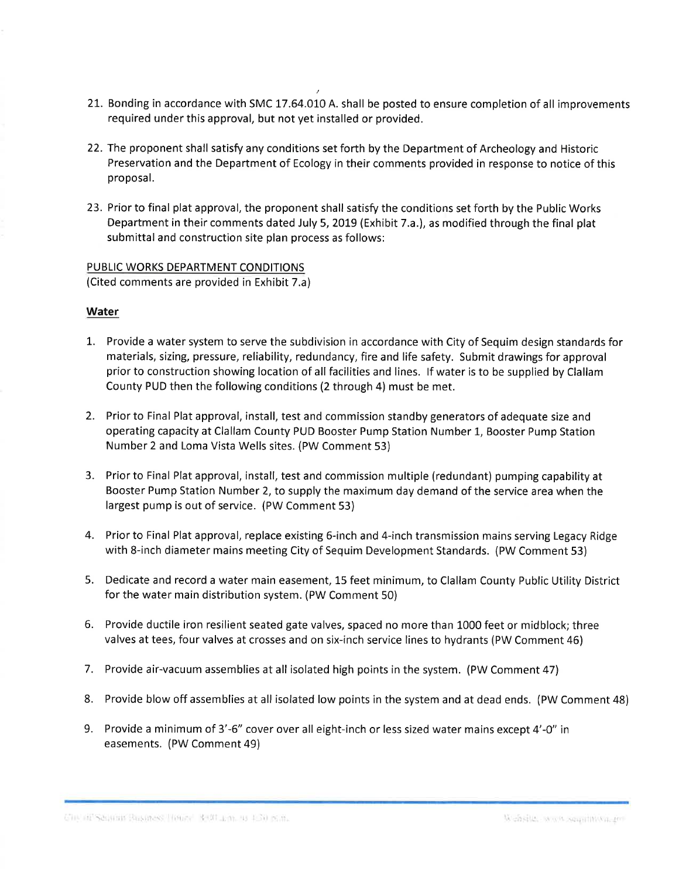- 21. Bonding in accordance with SMC 17.64.010 A. shall be posted to ensure completion of all improvements required under this approval, but not yet installed or provided.
- 22. The proponent shall satisfy any conditions set forth by the Department of Archeology and Historic Preservation and the Department of Ecology in their comments provided in response to notice of this proposal.
- 23. Prior to final plat approval, the proponent shall satisfy the conditions set forth by the Public Works Department in their comments dated July 5, 2019 (Exhibit 7.a.), as modified through the final plat submittal and construction site plan process as follows:

PUBLIC WORKS DEPARTMENT CONDITIONS (Cited comments are provided in Exhibit 7.a)

### **Water**

- 1. Provide a water system to serve the subdivision in accordance with City of Sequim design standards for materials, sizing, pressure, reliability, redundancy, fire and life safety. Submit drawings for approval prior to construction showíng location of all facilities and lines. lf water is to be supplied by Clallam County PUD then the following conditions (2 through 4) must be met.
- 2. Prior to Final Plat approval, install, test and commíssion standby generators of adequate size and operating capacíty at Clallam County PUD Booster Pump Station Number L, Booster Pump Station Number 2 and Loma Vista Wells sites. (PW Comment 53)
- 3. Prior to Final Plat approval, install, test and commission multíple (redundant) pumping capability at Booster Pump Station Number 2, to supply the maxímum day demand of the servíce area when the largest pump is out of service. (PW Comment 53)
- 4. Prior to Final Plat approval, replace existing 6-inch and 4-inch transmission mains serving Legacy Ridge with 8-inch diameter mains meeting City of Sequim Development Standards. (PW Comment 53)
- 5. Dedicate and record a water main easement, 15 feet minimum, to Clallam County Public Utility District for the water main distribution system. (PW Comment 50)
- 6. Provide ductile iron resilient seated gate valves, spaced no more than 1000 feet or midblock; three valves at tees, four valves at crosses and on six-inch service lines to hydrants (PW Comment 46)
- 7. Provide air-vacuum assemblies at all isolated high points in the system. (PW Comment 47)
- 8. Provide blow off assemblies at all isolated low points in the system and at dead ends. (PW Comment 48)
- 9. Provide a minimum of 3'-6" cover over all eight-inch or less sized water mains except 4'-O" in easements. (PW Comment 49)

Chi di Seaman Business Tours Roll Lan, to 150 pand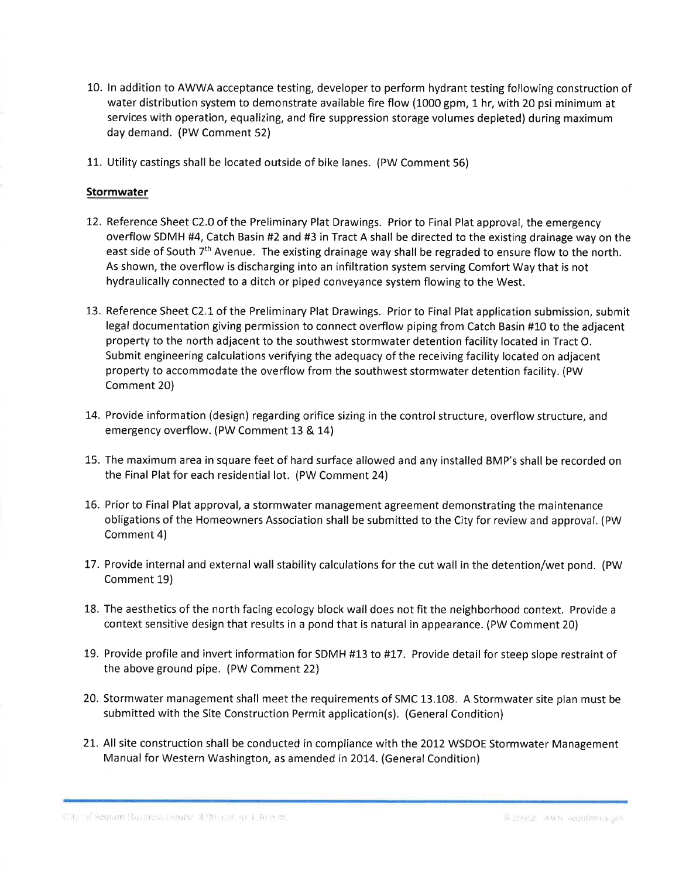- 10. ln addition to AWWA acceptance testing, developer to perform hydrant testing following construction of water distribution system to demonstrate available fire flow (1000 gpm, 1 hr, with 20 psi minimum at services with operation, equalizing, and fire suppression storage volumes depleted) during maximum day demand. (PW Comment 52)
- 11. Utility castings shall be located outside of bike lanes. (PW Comment 56)

#### Stormwater

- 12. Reference Sheet C2.0 of the Preliminary Plat Drawings. Prior to Final Plat approval, the emergency overflow SDMH #4, Catch Basin #2 and #3 in Tract A shall be directed to the existing drainage way on the east side of South 7<sup>th</sup> Avenue. The existing drainage way shall be regraded to ensure flow to the north. As shown, the overflow is discharging into an infiltration system serving Comfort Way that is not hydraulically connected to a ditch or piped conveyance system flowing to the West.
- 13. Reference Sheet C2.1 of the Preliminary Plat Drawings. Prior to Final Plat application submission, submit legal documentation giving permission to connect overflow piping from Catch Basin #10 to the adjacent property to the north adjacent to the southwest stormwater detention facility located in Tract O. Submit engineering calculations verifying the adequacy of the receiving facility located on adjacent property to accommodate the overflow from the southwest stormwater detention facility. (PW Comment 20)
- 14. Provide information (design) regarding orifice sizing in the control structure, overflow structure, and emergency overflow. (PW Comment 13 & 14)
- 15. The maximum area in square feet of hard surface allowed and any installed BMP's shall be recorded on the Final Plat for each residential lot. (PW Comment 24)
- 16. Prior to Final Plat approval, a stormwater management agreement demonstrating the maintenance obligations of the Homeowners Association shall be submitted to the City for review and approval. (PW Comment 4)
- 17. Provide internal and external wall stability calculatíons for the cut wall in the detention/wet pond. (PW Comment 19)
- 18. The aesthetics of the north facing ecology block wall does not fit the neighborhood context. Provide a context sensitive design that results in a pond that is natural in appearance. (PW Comment 20)
- 19. Provide profile and invert information for SDMH #13 to #17. Provide detail for steep slope restraint of the above ground pipe. (PW Comment 22)
- 20. Stormwater management shall meet the requirements of SMC 13.108. A Stormwater site plan must be submitted with the Site Construction Permit application(s). (General Condition)
- 21. All site construction shall be conducted in compliance with the 2012 WSDOE Stormwater Management Manual for Western Washington, as amended in 2014. (General Condition)

.com Basines, Ponts: 1940 and 10 LBF or ... ...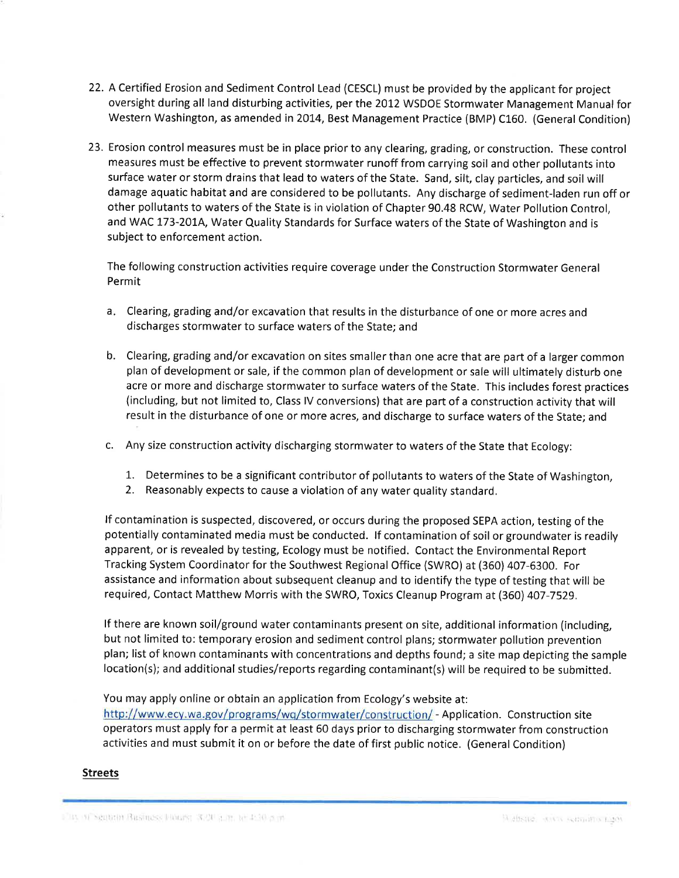- 22. A Certified Erosion and Sediment Control Lead (CESCL) must be provided by the applicant for project oversight during all land disturbing activities, per the 2012 WSDOE Stormwater Management Manual for Western Washington, as amended in 2014, Best Management Practice (BMP) C160. (General Condition)
- 23. Erosion control measures must be in place prior to any clearing, grading, or construction. These control measures must be effective to prevent stormwater runoff from carrying soil and other pollutants into surface water or storm drains that lead to waters of the State. Sand, silt, clay particles, and soil will damage aquatic habitat and are considered to be pollutants. Any discharge of sediment-laden run off or other pollutants to waters of the State is in violation of Chapter 90.48 RCW, Water Pollution Control, and WAC 173-201A, Water Quality Standards for Surface waters of the State of Washington and is subject to enforcement action.

The following construction activities require coverage under the Construction Stormwater General Permit

- Clearing, grading and/or excavation that results in the disturbance of one or more acres and a discharges stormwater to surface waters of the State; and
- b. Clearing, grading and/or excavation on sites smaller than one acre that are part of a larger common plan of development or sale, if the common plan of development or sale will ultimately disturb one acre or more and discharge stormwater to surface waters of the State. This includes forest practices (including, but not limited to, Class lV conversions) that are part of a construction activity that will result in the disturbance of one or more acres, and discharge to surface waters of the State; and
- c. Any size construction activity discharging stormwater to waters of the State that Ecology:
	- 1. Determines to be a significant contributor of pollutants to waters of the State of Washington,
	- 2. Reasonably expects to cause a violation of any water quality standard.

lf contamination is suspected, discovered, or occurs during the proposed SEPA action, testing of the potentially contaminated media must be conducted. If contamination of soil or groundwater is readily apparent, or is revealed by testing, Ecology must be notified. Contact the Environmental Report Tracking System Coordinator for the Southwest Regional Office (SWRO) at (360) 407-6300. For assistance and information about subsequent cleanup and to identify the type of testíng that will be required, Contact Matthew Morris with the SWRO, Toxics Cleanup Program at (360) 407-7529.

lf there are known soil/ground water contaminants present on site, additional information (including, but not limited to: temporary erosion and sediment control plans; stormwater pollution prevention plan; list of known contaminants with concentrations and depths found; a site map depicting the sample location(s); and additional studies/reports regarding contaminant(s) will be required to be submitted.

You may apply online or obtain an application from Ecology's website at:

http://www.ecy.wa.gov/programs/wq/stormwater/construction/ - Application. Construction site operators must apply for a permit at least 60 days prior to discharging stormwater from construction activities and must submit it on or before the date of first public notice. (General Condition)

## Streets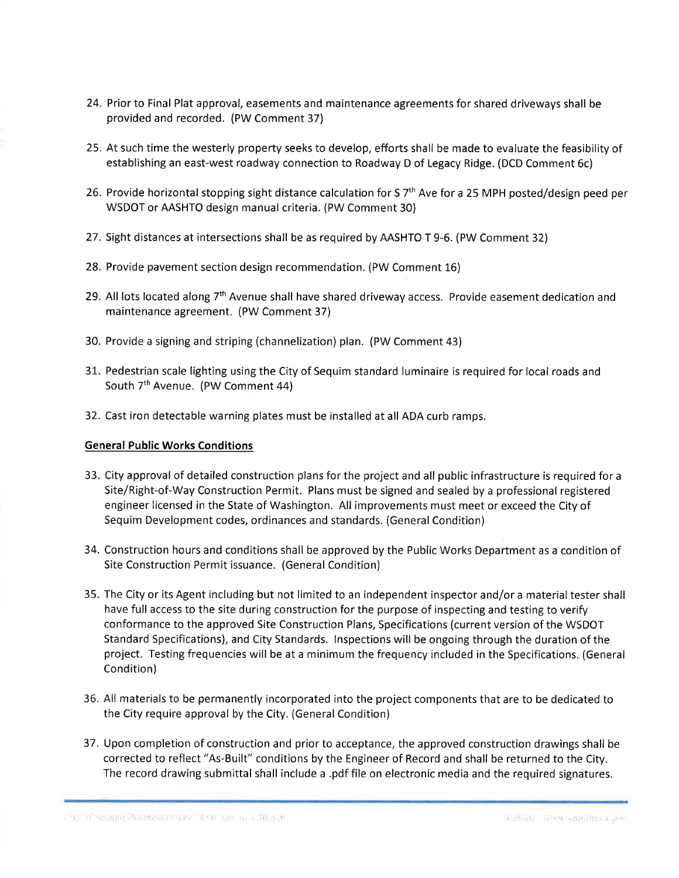- 24. Prior to Final Plat approval, easements and maintenance agreements for shared driveways shall be provided and recorded. (PW Comment 37)
- 25. At such time the westerly property seeks to develop, efforts shall be made to evaluate the feasibility of establishing an east-west roadway connection to Roadway D of Legacy Ridge. (DCD Comment 6c)
- 26. Provide horizontal stopping sight distance calculation for S 7<sup>th</sup> Ave for a 25 MPH posted/design peed per WSDOT or AASHTO design manual criteria. (PW Comment 30)
- 27. Sight distances at intersections shall be as required by AASHTO T 9-6. (PW Comment 32)
- 28. Provide pavement section design recommendation. (PW Comment L6)
- 29. All lots located along 7<sup>th</sup> Avenue shall have shared driveway access. Provide easement dedication and maintenance agreement. (PW Comment 37)
- 30. Provide a signing and striping (channelization) plan. (PW Comment 43)
- 31. Pedestrian scale lighting using the City of Sequim standard luminaire is required for local roads and South 7<sup>th</sup> Avenue. (PW Comment 44)
- 32. Cast iron detectable warning plates must be installed at all ADA curb ramps.

## General Public Works Conditions

- 33. City approval of detailed construction plans for the project and all public infrastructure is required for a Site/Right-of-Way Construction Permit. Plans must be signed and sealed by a professíonal registered engineer licensed in the State of Washington. All improvements must meet or exceed the City of Sequim Development codes, ordinances and standards. (General Condition)
- 34. Construction hours and conditions shall be approved by the Public Works Department as a condition of Site Construction Permit issuance. (General Condition)
- 35. The City or its Agent including but not limited to an independent inspector and/or a material tester shall have full access to the site during construction for the purpose of inspecting and testing to verify conformance to the approved Site Construction Plans, Specifications (current version of the WSDOT Standard Specifications), and City Standards. lnspections will be ongoing through the duration of the project. Testing frequencies will be at a minlmum the frequency included in the Specifications. (General Condition)
- 36. All materials to be permanently incorporated into the project components that are to be dedicated to the City require approval by the City. (General Condition)
- 37. Upon completion of construction and prior to acceptance, the approved construction drawings shall be corrected to reflect "As-Built" conditions by the Engineer of Record and shall be returned to the City. The record drawing submittal shall include a .pdf file on electronic media and the required signatures.